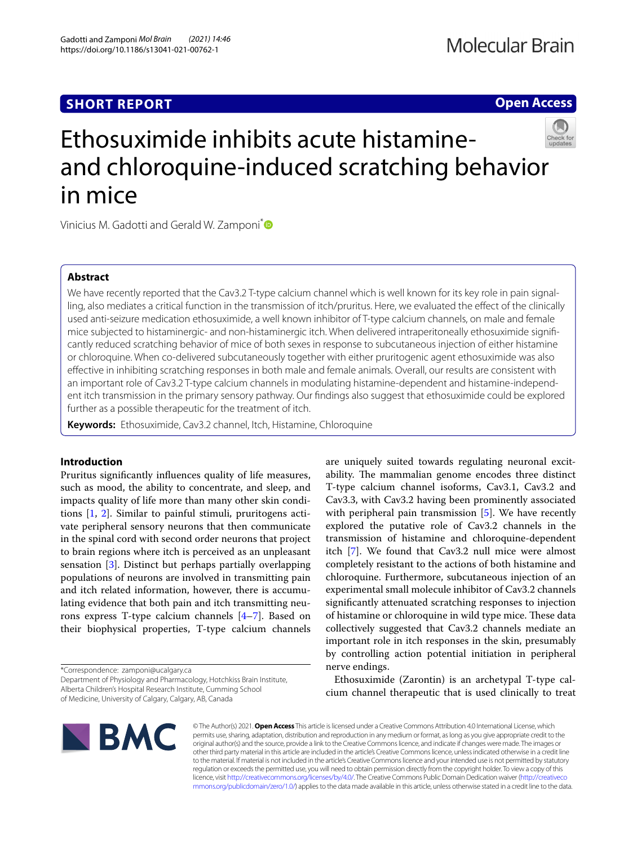# **SHORT REPORT**

# **Open Access**



# Ethosuximide inhibits acute histamineand chloroquine-induced scratching behavior in mice

Vinicius M. Gadotti and Gerald W. Zamponi<sup>[\\*](http://orcid.org/0000-0002-0644-9066)</sup>

## **Abstract**

We have recently reported that the Cav3.2 T-type calcium channel which is well known for its key role in pain signalling, also mediates a critical function in the transmission of itch/pruritus. Here, we evaluated the efect of the clinically used anti-seizure medication ethosuximide, a well known inhibitor of T-type calcium channels, on male and female mice subjected to histaminergic- and non-histaminergic itch. When delivered intraperitoneally ethosuximide signifcantly reduced scratching behavior of mice of both sexes in response to subcutaneous injection of either histamine or chloroquine. When co-delivered subcutaneously together with either pruritogenic agent ethosuximide was also efective in inhibiting scratching responses in both male and female animals. Overall, our results are consistent with an important role of Cav3.2 T-type calcium channels in modulating histamine-dependent and histamine-independent itch transmission in the primary sensory pathway. Our fndings also suggest that ethosuximide could be explored further as a possible therapeutic for the treatment of itch.

**Keywords:** Ethosuximide, Cav3.2 channel, Itch, Histamine, Chloroquine

### **Introduction**

Pruritus signifcantly infuences quality of life measures, such as mood, the ability to concentrate, and sleep, and impacts quality of life more than many other skin conditions [[1,](#page-3-0) [2\]](#page-3-1). Similar to painful stimuli, pruritogens activate peripheral sensory neurons that then communicate in the spinal cord with second order neurons that project to brain regions where itch is perceived as an unpleasant sensation [[3\]](#page-3-2). Distinct but perhaps partially overlapping populations of neurons are involved in transmitting pain and itch related information, however, there is accumulating evidence that both pain and itch transmitting neurons express T-type calcium channels [[4–](#page-3-3)[7](#page-4-0)]. Based on their biophysical properties, T-type calcium channels

\*Correspondence: zamponi@ucalgary.ca

Department of Physiology and Pharmacology, Hotchkiss Brain Institute, Alberta Children's Hospital Research Institute, Cumming School

of Medicine, University of Calgary, Calgary, AB, Canada





© The Author(s) 2021. **Open Access** This article is licensed under a Creative Commons Attribution 4.0 International License, which permits use, sharing, adaptation, distribution and reproduction in any medium or format, as long as you give appropriate credit to the original author(s) and the source, provide a link to the Creative Commons licence, and indicate if changes were made. The images or other third party material in this article are included in the article's Creative Commons licence, unless indicated otherwise in a credit line to the material. If material is not included in the article's Creative Commons licence and your intended use is not permitted by statutory regulation or exceeds the permitted use, you will need to obtain permission directly from the copyright holder. To view a copy of this licence, visit [http://creativecommons.org/licenses/by/4.0/.](http://creativecommons.org/licenses/by/4.0/) The Creative Commons Public Domain Dedication waiver ([http://creativeco](http://creativecommons.org/publicdomain/zero/1.0/) [mmons.org/publicdomain/zero/1.0/](http://creativecommons.org/publicdomain/zero/1.0/)) applies to the data made available in this article, unless otherwise stated in a credit line to the data.

are uniquely suited towards regulating neuronal excitability. The mammalian genome encodes three distinct T-type calcium channel isoforms, Cav3.1, Cav3.2 and Cav3.3, with Cav3.2 having been prominently associated with peripheral pain transmission [[5\]](#page-3-4). We have recently explored the putative role of Cav3.2 channels in the transmission of histamine and chloroquine-dependent itch [\[7\]](#page-4-0). We found that Cav3.2 null mice were almost completely resistant to the actions of both histamine and chloroquine. Furthermore, subcutaneous injection of an experimental small molecule inhibitor of Cav3.2 channels signifcantly attenuated scratching responses to injection of histamine or chloroquine in wild type mice. These data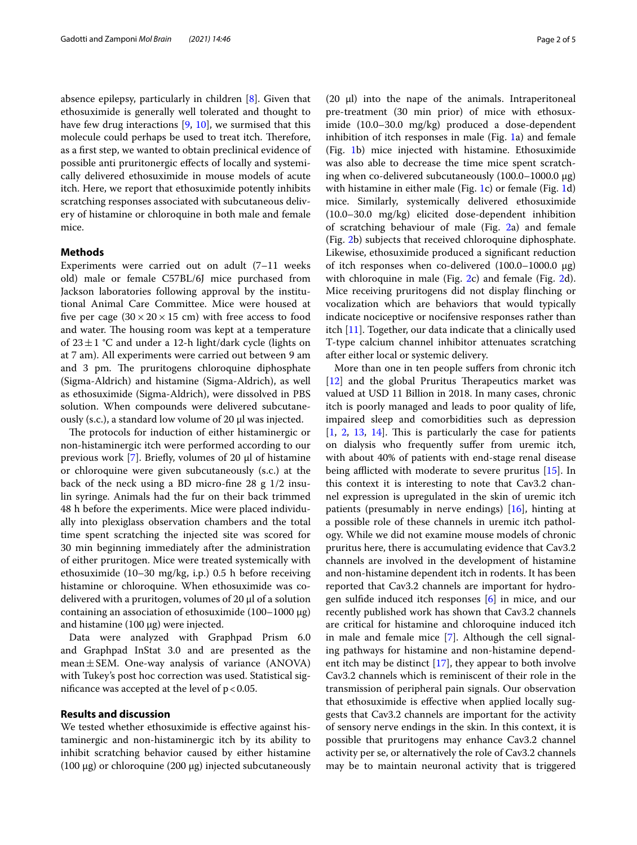absence epilepsy, particularly in children [[8\]](#page-4-1). Given that ethosuximide is generally well tolerated and thought to have few drug interactions  $[9, 10]$  $[9, 10]$  $[9, 10]$  $[9, 10]$ , we surmised that this molecule could perhaps be used to treat itch. Therefore, as a frst step, we wanted to obtain preclinical evidence of possible anti pruritonergic efects of locally and systemically delivered ethosuximide in mouse models of acute itch. Here, we report that ethosuximide potently inhibits scratching responses associated with subcutaneous delivery of histamine or chloroquine in both male and female mice.

#### **Methods**

Experiments were carried out on adult (7–11 weeks old) male or female C57BL/6J mice purchased from Jackson laboratories following approval by the institutional Animal Care Committee. Mice were housed at five per cage  $(30 \times 20 \times 15$  cm) with free access to food and water. The housing room was kept at a temperature of  $23 \pm 1$  °C and under a 12-h light/dark cycle (lights on at 7 am). All experiments were carried out between 9 am and 3 pm. The pruritogens chloroquine diphosphate (Sigma-Aldrich) and histamine (Sigma-Aldrich), as well as ethosuximide (Sigma-Aldrich), were dissolved in PBS solution. When compounds were delivered subcutaneously (s.c.), a standard low volume of 20 μl was injected.

The protocols for induction of either histaminergic or non-histaminergic itch were performed according to our previous work [[7\]](#page-4-0). Briefly, volumes of 20  $\mu$ l of histamine or chloroquine were given subcutaneously (s.c.) at the back of the neck using a BD micro-fine  $28 \text{ g } 1/2$  insulin syringe. Animals had the fur on their back trimmed 48 h before the experiments. Mice were placed individually into plexiglass observation chambers and the total time spent scratching the injected site was scored for 30 min beginning immediately after the administration of either pruritogen. Mice were treated systemically with ethosuximide (10–30 mg/kg, i.p.) 0.5 h before receiving histamine or chloroquine. When ethosuximide was codelivered with a pruritogen, volumes of 20  $\mu$ l of a solution containing an association of ethosuximide (100–1000 μg) and histamine (100 μg) were injected.

Data were analyzed with Graphpad Prism 6.0 and Graphpad InStat 3.0 and are presented as the mean $\pm$ SEM. One-way analysis of variance (ANOVA) with Tukey's post hoc correction was used. Statistical significance was accepted at the level of  $p < 0.05$ .

#### **Results and discussion**

We tested whether ethosuximide is efective against histaminergic and non-histaminergic itch by its ability to inhibit scratching behavior caused by either histamine (100 μg) or chloroquine (200 μg) injected subcutaneously (20  $\mu$ I) into the nape of the animals. Intraperitoneal pre-treatment (30 min prior) of mice with ethosuximide (10.0–30.0 mg/kg) produced a dose-dependent inhibition of itch responses in male (Fig.  $1a$  $1a$ ) and female (Fig. [1](#page-2-0)b) mice injected with histamine. Ethosuximide was also able to decrease the time mice spent scratching when co-delivered subcutaneously (100.0–1000.0 μg) with histamine in either male (Fig. [1](#page-2-0)c) or female (Fig. [1](#page-2-0)d) mice. Similarly, systemically delivered ethosuximide (10.0–30.0 mg/kg) elicited dose-dependent inhibition of scratching behaviour of male (Fig. [2](#page-3-5)a) and female (Fig. [2b](#page-3-5)) subjects that received chloroquine diphosphate. Likewise, ethosuximide produced a signifcant reduction of itch responses when co-delivered (100.0–1000.0 μg) with chloroquine in male (Fig. [2](#page-3-5)c) and female (Fig. [2d](#page-3-5)). Mice receiving pruritogens did not display finching or vocalization which are behaviors that would typically indicate nociceptive or nocifensive responses rather than itch [[11\]](#page-4-4). Together, our data indicate that a clinically used T-type calcium channel inhibitor attenuates scratching after either local or systemic delivery.

More than one in ten people sufers from chronic itch  $[12]$  $[12]$  and the global Pruritus Therapeutics market was valued at USD 11 Billion in 2018. In many cases, chronic itch is poorly managed and leads to poor quality of life, impaired sleep and comorbidities such as depression  $[1, 2, 13, 14]$  $[1, 2, 13, 14]$  $[1, 2, 13, 14]$  $[1, 2, 13, 14]$  $[1, 2, 13, 14]$  $[1, 2, 13, 14]$  $[1, 2, 13, 14]$  $[1, 2, 13, 14]$  $[1, 2, 13, 14]$ . This is particularly the case for patients on dialysis who frequently sufer from uremic itch, with about 40% of patients with end-stage renal disease being afflicted with moderate to severe pruritus [\[15](#page-4-8)]. In this context it is interesting to note that Cav3.2 channel expression is upregulated in the skin of uremic itch patients (presumably in nerve endings) [[16\]](#page-4-9), hinting at a possible role of these channels in uremic itch pathology. While we did not examine mouse models of chronic pruritus here, there is accumulating evidence that Cav3.2 channels are involved in the development of histamine and non-histamine dependent itch in rodents. It has been reported that Cav3.2 channels are important for hydrogen sulfde induced itch responses [\[6](#page-4-10)] in mice, and our recently published work has shown that Cav3.2 channels are critical for histamine and chloroquine induced itch in male and female mice [[7](#page-4-0)]. Although the cell signaling pathways for histamine and non-histamine dependent itch may be distinct [[17\]](#page-4-11), they appear to both involve Cav3.2 channels which is reminiscent of their role in the transmission of peripheral pain signals. Our observation that ethosuximide is efective when applied locally suggests that Cav3.2 channels are important for the activity of sensory nerve endings in the skin. In this context, it is possible that pruritogens may enhance Cav3.2 channel activity per se, or alternatively the role of Cav3.2 channels may be to maintain neuronal activity that is triggered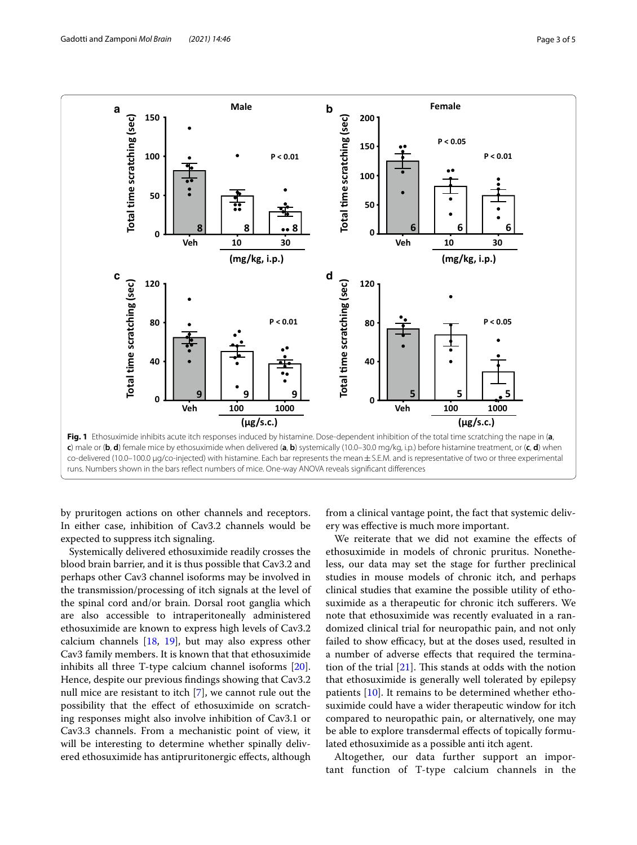

<span id="page-2-0"></span>runs. Numbers shown in the bars refect numbers of mice. One-way ANOVA reveals signifcant diferences

by pruritogen actions on other channels and receptors. In either case, inhibition of Cav3.2 channels would be expected to suppress itch signaling.

Systemically delivered ethosuximide readily crosses the blood brain barrier, and it is thus possible that Cav3.2 and perhaps other Cav3 channel isoforms may be involved in the transmission/processing of itch signals at the level of the spinal cord and/or brain. Dorsal root ganglia which are also accessible to intraperitoneally administered ethosuximide are known to express high levels of Cav3.2 calcium channels  $[18, 19]$  $[18, 19]$  $[18, 19]$ , but may also express other Cav3 family members. It is known that that ethosuximide inhibits all three T-type calcium channel isoforms [\[20](#page-4-14)]. Hence, despite our previous fndings showing that Cav3.2 null mice are resistant to itch [[7](#page-4-0)], we cannot rule out the possibility that the efect of ethosuximide on scratching responses might also involve inhibition of Cav3.1 or Cav3.3 channels. From a mechanistic point of view, it will be interesting to determine whether spinally delivered ethosuximide has antipruritonergic efects, although

from a clinical vantage point, the fact that systemic delivery was efective is much more important.

We reiterate that we did not examine the efects of ethosuximide in models of chronic pruritus. Nonetheless, our data may set the stage for further preclinical studies in mouse models of chronic itch, and perhaps clinical studies that examine the possible utility of ethosuximide as a therapeutic for chronic itch suferers. We note that ethosuximide was recently evaluated in a randomized clinical trial for neuropathic pain, and not only failed to show efficacy, but at the doses used, resulted in a number of adverse efects that required the termination of the trial  $[21]$  $[21]$ . This stands at odds with the notion that ethosuximide is generally well tolerated by epilepsy patients [\[10](#page-4-3)]. It remains to be determined whether ethosuximide could have a wider therapeutic window for itch compared to neuropathic pain, or alternatively, one may be able to explore transdermal efects of topically formulated ethosuximide as a possible anti itch agent.

Altogether, our data further support an important function of T-type calcium channels in the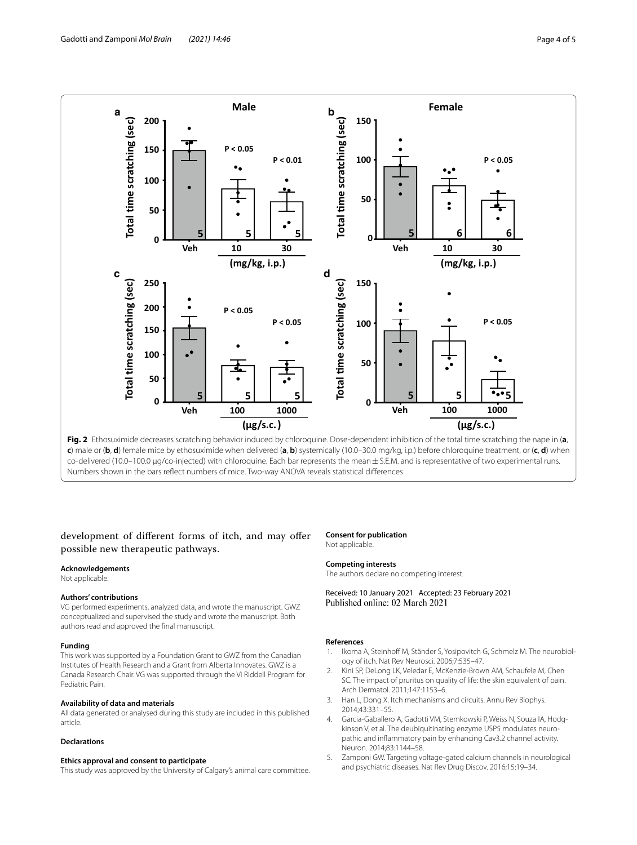

<span id="page-3-5"></span>**c**) male or (**b**, **d**) female mice by ethosuximide when delivered (**a**, **b**) systemically (10.0–30.0 mg/kg, i.p.) before chloroquine treatment, or (**c**, **d**) when co-delivered (10.0–100.0 μg/co-injected) with chloroquine. Each bar represents the mean±S.E.M. and is representative of two experimental runs. Numbers shown in the bars refect numbers of mice. Two-way ANOVA reveals statistical diferences

## development of diferent forms of itch, and may ofer possible new therapeutic pathways.

#### **Acknowledgements**

Not applicable.

#### **Authors' contributions**

VG performed experiments, analyzed data, and wrote the manuscript. GWZ conceptualized and supervised the study and wrote the manuscript. Both authors read and approved the fnal manuscript.

#### **Funding**

This work was supported by a Foundation Grant to GWZ from the Canadian Institutes of Health Research and a Grant from Alberta Innovates. GWZ is a Canada Research Chair. VG was supported through the Vi Riddell Program for Pediatric Pain.

#### **Availability of data and materials**

All data generated or analysed during this study are included in this published article.

#### **Declarations**

#### **Ethics approval and consent to participate**

This study was approved by the University of Calgary's animal care committee.

#### **Consent for publication** Not applicable.

#### **Competing interests**

The authors declare no competing interest.

Received: 10 January 2021 Accepted: 23 February 2021 Published online: 02 March 2021

#### **References**

- <span id="page-3-0"></span>Ikoma A, Steinhoff M, Ständer S, Yosipovitch G, Schmelz M. The neurobiology of itch. Nat Rev Neurosci. 2006;7:535–47.
- <span id="page-3-1"></span>2. Kini SP, DeLong LK, Veledar E, McKenzie-Brown AM, Schaufele M, Chen SC. The impact of pruritus on quality of life: the skin equivalent of pain. Arch Dermatol. 2011;147:1153–6.
- <span id="page-3-2"></span>3. Han L, Dong X. Itch mechanisms and circuits. Annu Rev Biophys. 2014;43:331–55.
- <span id="page-3-3"></span>4. Garcia-Gaballero A, Gadotti VM, Stemkowski P, Weiss N, Souza IA, Hodgkinson V, et al. The deubiquitinating enzyme USP5 modulates neuropathic and infammatory pain by enhancing Cav3.2 channel activity. Neuron. 2014;83:1144–58.
- <span id="page-3-4"></span>5. Zamponi GW. Targeting voltage-gated calcium channels in neurological and psychiatric diseases. Nat Rev Drug Discov. 2016;15:19–34.